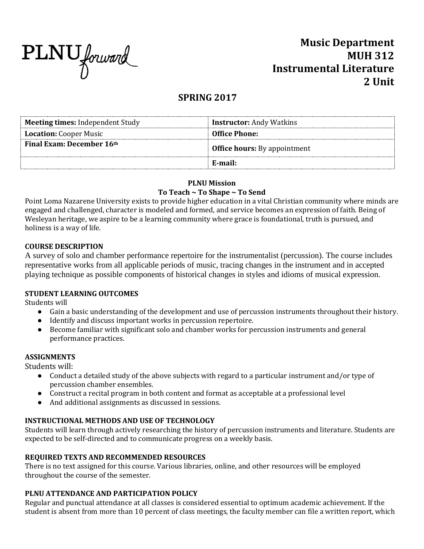

# **Music Department MUH 312 Instrumental Literature 2 Unit**

# **SPRING 2017**

| Meeting times: Independent Study | <b>Instructor:</b> Andy Watkins     |
|----------------------------------|-------------------------------------|
| <b>Location:</b> Cooper Music    | <b>Office Phone:</b>                |
| <b>Final Exam: December 16th</b> | <b>Office hours:</b> By appointment |
|                                  | E-mail:                             |

# **PLNU Mission**

# **To Teach ~ To Shape ~ To Send**

Point Loma Nazarene University exists to provide higher education in a vital Christian community where minds are engaged and challenged, character is modeled and formed, and service becomes an expression of faith. Being of Wesleyan heritage, we aspire to be a learning community where grace is foundational, truth is pursued, and holiness is a way of life.

# **COURSE DESCRIPTION**

A survey of solo and chamber performance repertoire for the instrumentalist (percussion). The course includes representative works from all applicable periods of music, tracing changes in the instrument and in accepted playing technique as possible components of historical changes in styles and idioms of musical expression.

### **STUDENT LEARNING OUTCOMES**

Students will

- Gain a basic understanding of the development and use of percussion instruments throughout their history.
- Identify and discuss important works in percussion repertoire.
- Become familiar with significant solo and chamber works for percussion instruments and general performance practices.

### **ASSIGNMENTS**

Students will:

- Conduct a detailed study of the above subjects with regard to a particular instrument and/or type of percussion chamber ensembles.
- Construct a recital program in both content and format as acceptable at a professional level
- And additional assignments as discussed in sessions.

# **INSTRUCTIONAL METHODS AND USE OF TECHNOLOGY**

Students will learn through actively researching the history of percussion instruments and literature. Students are expected to be self-directed and to communicate progress on a weekly basis.

### **REQUIRED TEXTS AND RECOMMENDED RESOURCES**

There is no text assigned for this course. Various libraries, online, and other resources will be employed throughout the course of the semester.

# **PLNU ATTENDANCE AND PARTICIPATION POLICY**

Regular and punctual attendance at all classes is considered essential to optimum academic achievement. If the student is absent from more than 10 percent of class meetings, the faculty member can file a written report, which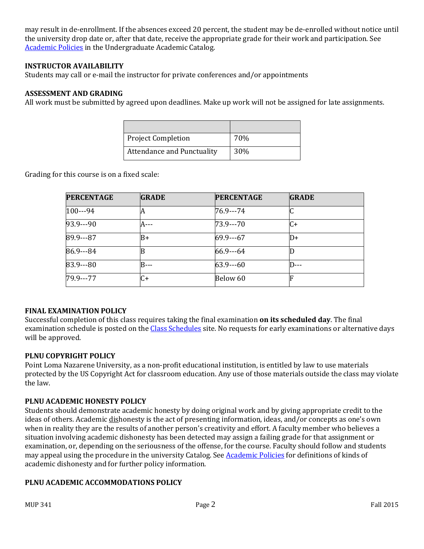may result in de-enrollment. If the absences exceed 20 percent, the student may be de-enrolled without notice until the university drop date or, after that date, receive the appropriate grade for their work and participation. See [Academic Policies](http://catalog.pointloma.edu/content.php?catoid=18&navoid=1278) in the Undergraduate Academic Catalog.

#### **INSTRUCTOR AVAILABILITY**

Students may call or e-mail the instructor for private conferences and/or appointments

#### **ASSESSMENT AND GRADING**

All work must be submitted by agreed upon deadlines. Make up work will not be assigned for late assignments.

| <b>Project Completion</b>         | 70% |
|-----------------------------------|-----|
| <b>Attendance and Punctuality</b> | 30% |

Grading for this course is on a fixed scale:

| <b>PERCENTAGE</b> | <b>GRADE</b> | <b>PERCENTAGE</b> | <b>GRADE</b> |
|-------------------|--------------|-------------------|--------------|
| $100--94$         | А            | 76.9---74         |              |
| $93.9--90$        | A---         | 73.9 - - - 70     | C+           |
| 89.9---87         | B+           | $69.9--67$        | ID+          |
| 86.9---84         |              | $66.9 - -64$      |              |
| $83.9--80$        | B---         | $63.9--60$        | .            |
| 79.9 - - - 77     | $C+$         | Below 60          |              |

#### **FINAL EXAMINATION POLICY**

Successful completion of this class requires taking the final examination **on its scheduled day**. The final examination schedule is posted on th[e Class Schedules](http://www.pointloma.edu/experience/academics/class-schedules) site. No requests for early examinations or alternative days will be approved.

#### **PLNU COPYRIGHT POLICY**

Point Loma Nazarene University, as a non-profit educational institution, is entitled by law to use materials protected by the US Copyright Act for classroom education. Any use of those materials outside the class may violate the law.

#### **PLNU ACADEMIC HONESTY POLICY**

Students should demonstrate academic honesty by doing original work and by giving appropriate credit to the ideas of others. Academic dishonesty is the act of presenting information, ideas, and/or concepts as one's own when in reality they are the results of another person's creativity and effort. A faculty member who believes a situation involving academic dishonesty has been detected may assign a failing grade for that assignment or examination, or, depending on the seriousness of the offense, for the course. Faculty should follow and students may appeal using the procedure in the university Catalog. Se[e Academic Policies](http://catalog.pointloma.edu/content.php?catoid=18&navoid=1278) for definitions of kinds of academic dishonesty and for further policy information.

#### **PLNU ACADEMIC ACCOMMODATIONS POLICY**